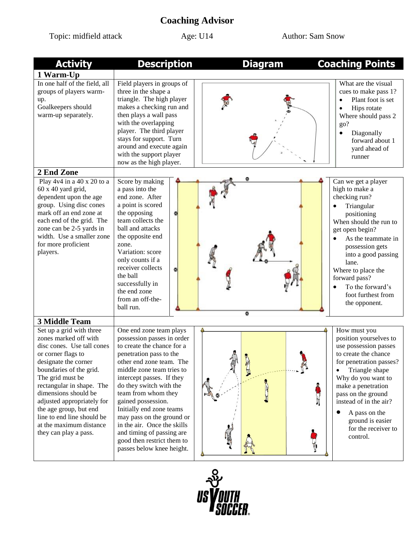## **Coaching Advisor**

Topic: midfield attack Age: U14 Author: Sam Snow

| <b>Activity</b>                                                                                                                                                                                                                                                                                                                                                             | <b>Description</b>                                                                                                                                                                                                                                                                                                                                                                                                                                           | <b>Diagram</b> | <b>Coaching Points</b>                                                                                                                                                                                                                                                                                      |
|-----------------------------------------------------------------------------------------------------------------------------------------------------------------------------------------------------------------------------------------------------------------------------------------------------------------------------------------------------------------------------|--------------------------------------------------------------------------------------------------------------------------------------------------------------------------------------------------------------------------------------------------------------------------------------------------------------------------------------------------------------------------------------------------------------------------------------------------------------|----------------|-------------------------------------------------------------------------------------------------------------------------------------------------------------------------------------------------------------------------------------------------------------------------------------------------------------|
| 1 Warm-Up                                                                                                                                                                                                                                                                                                                                                                   |                                                                                                                                                                                                                                                                                                                                                                                                                                                              |                |                                                                                                                                                                                                                                                                                                             |
| In one half of the field, all<br>groups of players warm-<br>up.<br>Goalkeepers should<br>warm-up separately.                                                                                                                                                                                                                                                                | Field players in groups of<br>three in the shape a<br>triangle. The high player<br>makes a checking run and<br>then plays a wall pass<br>with the overlapping<br>player. The third player<br>stays for support. Turn<br>around and execute again<br>with the support player<br>now as the high player.                                                                                                                                                       |                | What are the visual<br>cues to make pass 1?<br>Plant foot is set<br>$\bullet$<br>Hips rotate<br>Where should pass 2<br>go?<br>Diagonally<br>$\bullet$<br>forward about 1<br>yard ahead of<br>runner                                                                                                         |
| 2 End Zone                                                                                                                                                                                                                                                                                                                                                                  |                                                                                                                                                                                                                                                                                                                                                                                                                                                              |                |                                                                                                                                                                                                                                                                                                             |
| Play 4v4 in a 40 x 20 to a<br>$60x 40$ yard grid,<br>dependent upon the age<br>group. Using disc cones<br>mark off an end zone at<br>each end of the grid. The<br>zone can be 2-5 yards in<br>width. Use a smaller zone<br>for more proficient<br>players.                                                                                                                  | Score by making<br>a pass into the<br>end zone. After<br>a point is scored<br>the opposing<br>team collects the<br>ball and attacks<br>the opposite end<br>zone.<br>Variation: score<br>only counts if a<br>receiver collects<br>the ball<br>successfully in<br>the end zone<br>from an off-the-<br>ball run.                                                                                                                                                | ۵              | Can we get a player<br>high to make a<br>checking run?<br>Triangular<br>positioning<br>When should the run to<br>get open begin?<br>As the teammate in<br>possession gets<br>into a good passing<br>lane.<br>Where to place the<br>forward pass?<br>To the forward's<br>foot furthest from<br>the opponent. |
| <b>3 Middle Team</b>                                                                                                                                                                                                                                                                                                                                                        |                                                                                                                                                                                                                                                                                                                                                                                                                                                              |                |                                                                                                                                                                                                                                                                                                             |
| Set up a grid with three<br>zones marked off with<br>disc cones. Use tall cones<br>or corner flags to<br>designate the corner<br>boundaries of the grid.<br>The grid must be<br>rectangular in shape. The<br>dimensions should be<br>adjusted appropriately for<br>the age group, but end<br>line to end line should be<br>at the maximum distance<br>they can play a pass. | One end zone team plays<br>possession passes in order<br>to create the chance for a<br>penetration pass to the<br>other end zone team. The<br>middle zone team tries to<br>intercept passes. If they<br>do they switch with the<br>team from whom they<br>gained possession.<br>Initially end zone teams<br>may pass on the ground or<br>in the air. Once the skills<br>and timing of passing are<br>good then restrict them to<br>passes below knee height. |                | How must you<br>position yourselves to<br>use possession passes<br>to create the chance<br>for penetration passes?<br>Triangle shape<br>Why do you want to<br>make a penetration<br>pass on the ground<br>instead of in the air?<br>A pass on the<br>ground is easier<br>for the receiver to<br>control.    |